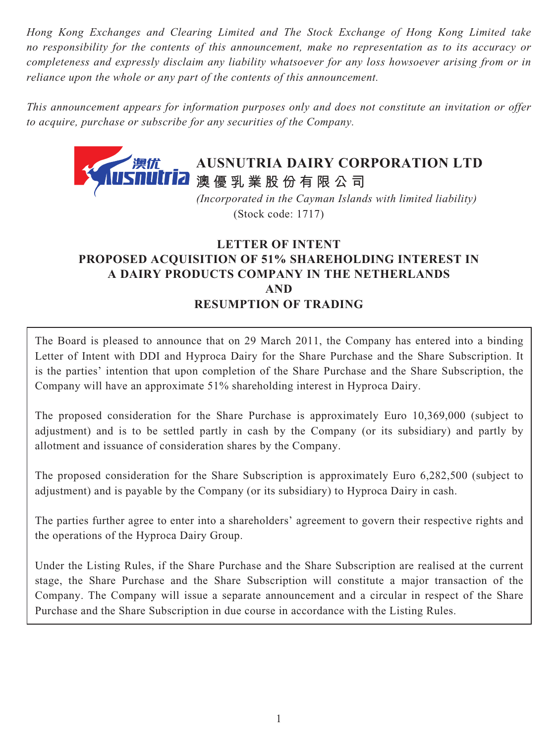*Hong Kong Exchanges and Clearing Limited and The Stock Exchange of Hong Kong Limited take no responsibility for the contents of this announcement, make no representation as to its accuracy or completeness and expressly disclaim any liability whatsoever for any loss howsoever arising from or in reliance upon the whole or any part of the contents of this announcement.*

*This announcement appears for information purposes only and does not constitute an invitation or offer to acquire, purchase or subscribe for any securities of the Company.*



 *(Incorporated in the Cayman Islands with limited liability)* (Stock code: 1717)

## **LETTER OF INTENT PROPOSED ACQUISITION OF 51% SHAREHOLDING INTEREST IN A DAIRY PRODUCTS COMPANY IN THE NETHERLANDS AND RESUMPTION OF TRADING**

The Board is pleased to announce that on 29 March 2011, the Company has entered into a binding Letter of Intent with DDI and Hyproca Dairy for the Share Purchase and the Share Subscription. It is the parties' intention that upon completion of the Share Purchase and the Share Subscription, the Company will have an approximate 51% shareholding interest in Hyproca Dairy.

The proposed consideration for the Share Purchase is approximately Euro 10,369,000 (subject to adjustment) and is to be settled partly in cash by the Company (or its subsidiary) and partly by allotment and issuance of consideration shares by the Company.

The proposed consideration for the Share Subscription is approximately Euro 6,282,500 (subject to adjustment) and is payable by the Company (or its subsidiary) to Hyproca Dairy in cash.

The parties further agree to enter into a shareholders' agreement to govern their respective rights and the operations of the Hyproca Dairy Group.

Under the Listing Rules, if the Share Purchase and the Share Subscription are realised at the current stage, the Share Purchase and the Share Subscription will constitute a major transaction of the Company. The Company will issue a separate announcement and a circular in respect of the Share Purchase and the Share Subscription in due course in accordance with the Listing Rules.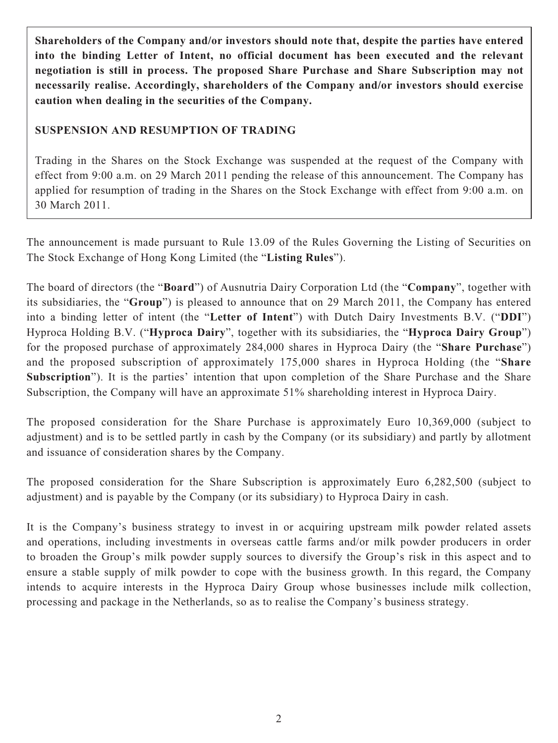**Shareholders of the Company and/or investors should note that, despite the parties have entered into the binding Letter of Intent, no official document has been executed and the relevant negotiation is still in process. The proposed Share Purchase and Share Subscription may not necessarily realise. Accordingly, shareholders of the Company and/or investors should exercise caution when dealing in the securities of the Company.**

## **SUSPENSION AND RESUMPTION OF TRADING**

Trading in the Shares on the Stock Exchange was suspended at the request of the Company with effect from 9:00 a.m. on 29 March 2011 pending the release of this announcement. The Company has applied for resumption of trading in the Shares on the Stock Exchange with effect from 9:00 a.m. on 30 March 2011.

The announcement is made pursuant to Rule 13.09 of the Rules Governing the Listing of Securities on The Stock Exchange of Hong Kong Limited (the "**Listing Rules**").

The board of directors (the "**Board**") of Ausnutria Dairy Corporation Ltd (the "**Company**", together with its subsidiaries, the "**Group**") is pleased to announce that on 29 March 2011, the Company has entered into a binding letter of intent (the "**Letter of Intent**") with Dutch Dairy Investments B.V. ("**DDI**") Hyproca Holding B.V. ("**Hyproca Dairy**", together with its subsidiaries, the "**Hyproca Dairy Group**") for the proposed purchase of approximately 284,000 shares in Hyproca Dairy (the "**Share Purchase**") and the proposed subscription of approximately 175,000 shares in Hyproca Holding (the "**Share Subscription**"). It is the parties' intention that upon completion of the Share Purchase and the Share Subscription, the Company will have an approximate 51% shareholding interest in Hyproca Dairy.

The proposed consideration for the Share Purchase is approximately Euro 10,369,000 (subject to adjustment) and is to be settled partly in cash by the Company (or its subsidiary) and partly by allotment and issuance of consideration shares by the Company.

The proposed consideration for the Share Subscription is approximately Euro 6,282,500 (subject to adjustment) and is payable by the Company (or its subsidiary) to Hyproca Dairy in cash.

It is the Company's business strategy to invest in or acquiring upstream milk powder related assets and operations, including investments in overseas cattle farms and/or milk powder producers in order to broaden the Group's milk powder supply sources to diversify the Group's risk in this aspect and to ensure a stable supply of milk powder to cope with the business growth. In this regard, the Company intends to acquire interests in the Hyproca Dairy Group whose businesses include milk collection, processing and package in the Netherlands, so as to realise the Company's business strategy.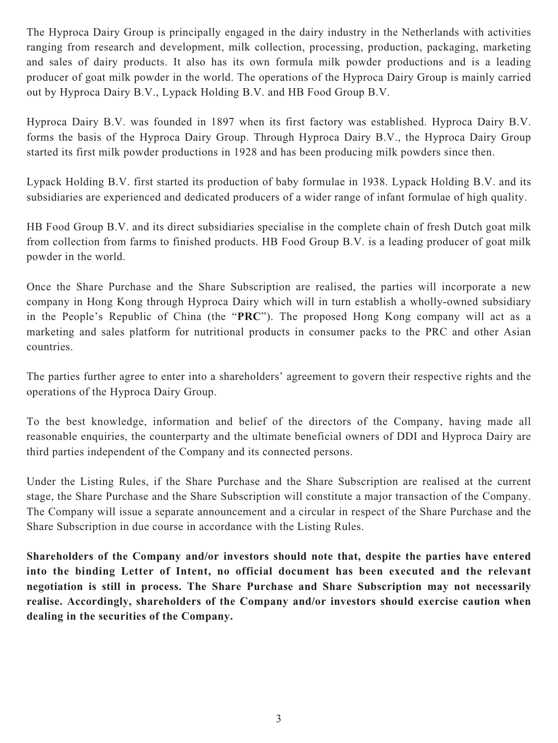The Hyproca Dairy Group is principally engaged in the dairy industry in the Netherlands with activities ranging from research and development, milk collection, processing, production, packaging, marketing and sales of dairy products. It also has its own formula milk powder productions and is a leading producer of goat milk powder in the world. The operations of the Hyproca Dairy Group is mainly carried out by Hyproca Dairy B.V., Lypack Holding B.V. and HB Food Group B.V.

Hyproca Dairy B.V. was founded in 1897 when its first factory was established. Hyproca Dairy B.V. forms the basis of the Hyproca Dairy Group. Through Hyproca Dairy B.V., the Hyproca Dairy Group started its first milk powder productions in 1928 and has been producing milk powders since then.

Lypack Holding B.V. first started its production of baby formulae in 1938. Lypack Holding B.V. and its subsidiaries are experienced and dedicated producers of a wider range of infant formulae of high quality.

HB Food Group B.V. and its direct subsidiaries specialise in the complete chain of fresh Dutch goat milk from collection from farms to finished products. HB Food Group B.V. is a leading producer of goat milk powder in the world.

Once the Share Purchase and the Share Subscription are realised, the parties will incorporate a new company in Hong Kong through Hyproca Dairy which will in turn establish a wholly-owned subsidiary in the People's Republic of China (the "**PRC**"). The proposed Hong Kong company will act as a marketing and sales platform for nutritional products in consumer packs to the PRC and other Asian countries.

The parties further agree to enter into a shareholders' agreement to govern their respective rights and the operations of the Hyproca Dairy Group.

To the best knowledge, information and belief of the directors of the Company, having made all reasonable enquiries, the counterparty and the ultimate beneficial owners of DDI and Hyproca Dairy are third parties independent of the Company and its connected persons.

Under the Listing Rules, if the Share Purchase and the Share Subscription are realised at the current stage, the Share Purchase and the Share Subscription will constitute a major transaction of the Company. The Company will issue a separate announcement and a circular in respect of the Share Purchase and the Share Subscription in due course in accordance with the Listing Rules.

**Shareholders of the Company and/or investors should note that, despite the parties have entered into the binding Letter of Intent, no official document has been executed and the relevant negotiation is still in process. The Share Purchase and Share Subscription may not necessarily realise. Accordingly, shareholders of the Company and/or investors should exercise caution when dealing in the securities of the Company.**